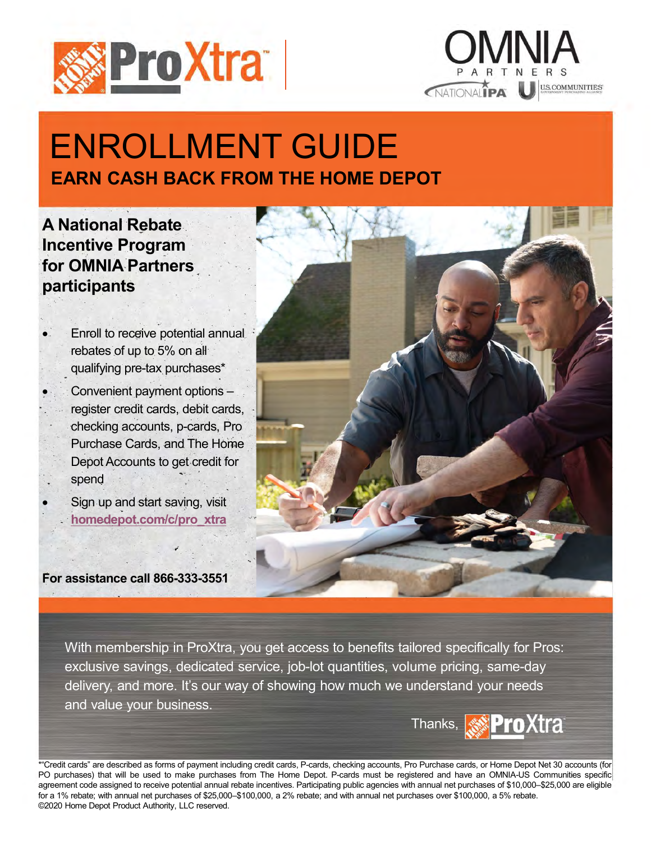



# ENROLLMENT GUIDE EARN CASH BACK FROM THE HOME DEPOT

A National Rebate Incentive Program for OMNIA Partners participants

 Enroll to receive potential annual rebates of up to 5% on all qualifying pre-tax purchases\*

 Convenient payment options – register credit cards, debit cards, checking accounts, p-cards, Pro Purchase Cards, and The Home Depot Accounts to get credit for spend

 Sign up and start saving, visit homedepot.com/c/pro\_xtra

For assistance call 866-333-3551

Convenient payment options<br>
reacking accounts, p-cards, Pro<br>
Depot Accounts to get credit for<br>
Sign up and start saving, visit<br>
Sign up and start saving, visit<br>
Sign up and start saving, visit<br>
Sign up and start saving, vi \* Sign up and start saving, visit<br>
For assistance call 866-333-3551<br>
With membership in ProXtra, you get access to benefits tailored specifically for Pros:<br>
exclusive savings, dedicated service, job-lot quantities, volume

With membership in ProXtra, you get access to benefits tailored specifically for Pros: delivery, and more. It's our way of showing how much we understand your needs and value your business. • Sign up and start saving, visit<br>
Por assistance call 866-333-3551<br>
With membership in ProXtra, you get access to benefits tailored specifically for Pros:<br>
exclusive savings, dedicated service, job-lot quantities, volum For assistance call 866-333-3551<br>
With membership in ProXtra, you get access to benefits tailored specifically for Pros:<br>
exclusive savings, dedicated service, job-lot quantities, volume pricing, same-day<br>
delivery, and mo For a sistance call 866-333-3551<br>
With membership in ProXtra, you get access to benefits tailored specifically for Pros:<br>
exclusive savings, dedicated service, job-lot quantities, volume pricing, same-day<br>
delivery, and mo For assistance call 866-333-3551<br>
With membership in ProXtra, you get access to benefits tailored specifically for Piexclusive savings, dedicated service, job-lot quantities, volume pricing, same-day<br>
delivery, and more. I